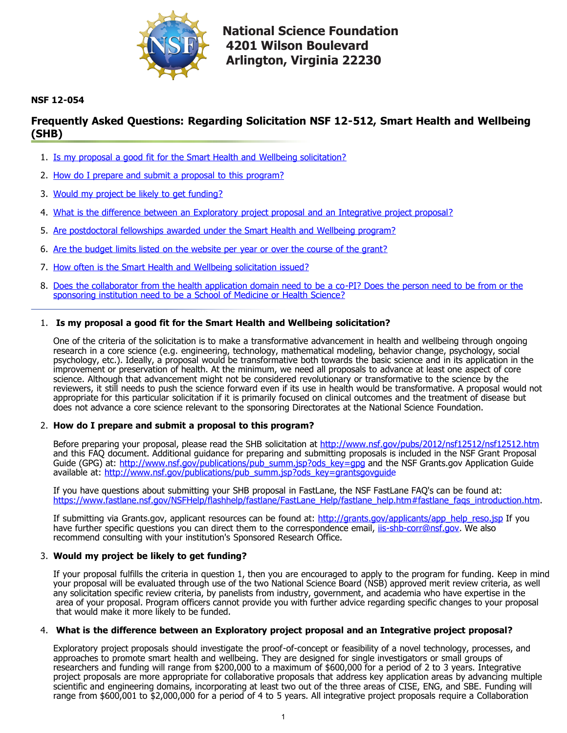

**National Science Foundation 4201 Wilson Boulevard Arlington, Virginia 22230** 

# **NSF 12-054**

# **Frequently Asked Questions: Regarding Solicitation NSF 12-512, Smart Health and Wellbeing (SHB)**

- 1. [Is my proposal a good fit for the Smart Health and Wellbeing solicitation?](#page-0-0)
- 2. How do I prepare and submit a proposal to this program?
- 3. [Would my project be likely to get funding?](#page-0-1)
- 4. [What is the difference between an Exploratory project proposal and an Integrative project proposal?](#page-0-2)
- 5. [Are postdoctoral fellowships awarded under the Smart Health and Wellbeing program?](#page-1-0)
- 6. [Are the budget limits listed on the website per year or over the course of the grant?](#page-1-1)
- 7. [How often is the Smart Health and Wellbeing solicitation issued?](#page-1-2)
- 8. [Does the collaborator from the health application domain need to be a co-PI? Does the person need to be from or the](#page-1-3) sponsoring institution need to be a School of Medicine or Health Science?

## <span id="page-0-0"></span>1. **Is my proposal a good fit for the Smart Health and Wellbeing solicitation?**

One of the criteria of the solicitation is to make a transformative advancement in health and wellbeing through ongoing research in a core science (e.g. engineering, technology, mathematical modeling, behavior change, psychology, social psychology, etc.). Ideally, a proposal would be transformative both towards the basic science and in its application in the improvement or preservation of health. At the minimum, we need all proposals to advance at least one aspect of core science. Although that advancement might not be considered revolutionary or transformative to the science by the reviewers, it still needs to push the science forward even if its use in health would be transformative. A proposal would not appropriate for this particular solicitation if it is primarily focused on clinical outcomes and the treatment of disease but does not advance a core science relevant to the sponsoring Directorates at the National Science Foundation.

## 2. **How do I prepare and submit a proposal to this program?**

Before preparing your proposal, please read the SHB solicitation at <http://www.nsf.gov/pubs/2012/nsf12512/nsf12512.htm> and this FAQ document. Additional guidance for preparing and submitting proposals is included in the NSF Grant Proposal Guide (GPG) at: [http://www.nsf.gov/publications/pub\\_summ.jsp?ods\\_key=gpg](http://www.nsf.gov/publications/pub_summ.jsp?ods_key=gpg) and the NSF Grants.gov Application Guide available at: [http://www.nsf.gov/publications/pub\\_summ.jsp?ods\\_key=grantsgovguide](http://www.nsf.gov/publications/pub_summ.jsp?ods_key=grantsgovguide)

If you have questions about submitting your SHB proposal in FastLane, the NSF FastLane FAQ's can be found at: [https://www.fastlane.nsf.gov/NSFHelp/flashhelp/fastlane/FastLane\\_Help/fastlane\\_help.htm#fastlane\\_faqs\\_introduction.htm.](https://www.fastlane.nsf.gov/NSFHelp/flashhelp/fastlane/FastLane_Help/fastlane_help.htm#fastlane_faqs_introduction.htm)

If submitting via Grants.gov, applicant resources can be found at: [http://grants.gov/applicants/app\\_help\\_reso.jsp](http://grants.gov/applicants/app_help_reso.jsp) If you have further specific questions you can direct them to the correspondence email, [iis-shb-corr@nsf.gov](mailto:iis-shb-corr@nsf.gov). We also recommend consulting with your institution's Sponsored Research Office.

## <span id="page-0-1"></span>3. **Would my project be likely to get funding?**

If your proposal fulfills the criteria in question 1, then you are encouraged to apply to the program for funding. Keep in mind your proposal will be evaluated through use of the two National Science Board (NSB) approved merit review criteria, as well any solicitation specific review criteria, by panelists from industry, government, and academia who have expertise in the area of your proposal. Program officers cannot provide you with further advice regarding specific changes to your proposal that would make it more likely to be funded.

## <span id="page-0-2"></span>4. **What is the difference between an Exploratory project proposal and an Integrative project proposal?**

Exploratory project proposals should investigate the proof-of-concept or feasibility of a novel technology, processes, and approaches to promote smart health and wellbeing. They are designed for single investigators or small groups of researchers and funding will range from \$200,000 to a maximum of \$600,000 for a period of 2 to 3 years. Integrative project proposals are more appropriate for collaborative proposals that address key application areas by advancing multiple scientific and engineering domains, incorporating at least two out of the three areas of CISE, ENG, and SBE. Funding will range from \$600,001 to \$2,000,000 for a period of 4 to 5 years. All integrative project proposals require a Collaboration